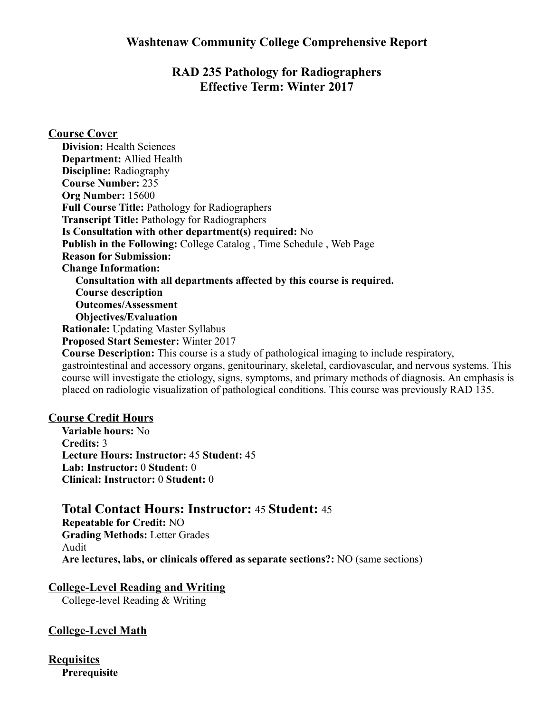## RAD 235 Pathology for Radiographers Effective Term: Winter 2017

Course Cover Division: Health Sciences Department: Allied Health Discipline: Radiography Course Number: 235 Org Number: 15600 Full Course Title: Pathology for Radiographers Transcript Title: Pathology for Radiographers Is Consultation with other department(s) required: No Publish in the Following: College Catalog , Time Schedule , Web Page Reason for Submission: Change Information: Consultation with all departments affected by this course is required. Course description Outcomes/Assessment Objectives/Evaluation Rationale: Updating Master Syllabus Proposed Start Semester: Winter 2017 Course Description: This course is a study of pathological imaging to include respiratory, gastrointestinal and accessory organs, genitourinary, skeletal, cardiovascular, and nervous systems. This course will investigate the etiology, signs, symptoms, and primary methods of diagnosis. An emphasis is placed on radiologic visualization of pathological conditions. This course was previously RAD 135. Course Credit Hours

Variable hours: No Credits: 3 Lecture Hours: Instructor: 45 Student: 45 Lab: Instructor: 0 Student: 0 Clinical: Instructor: 0 Student: 0

### Total Contact Hours: Instructor: 45 Student: 45

Repeatable for Credit: NO Grading Methods: Letter Grades Audit Are lectures, labs, or clinicals offered as separate sections?: NO (same sections)

### CollegeLevel Reading and Writing

College-level Reading & Writing

### College-Level Math

**Requisites Prerequisite**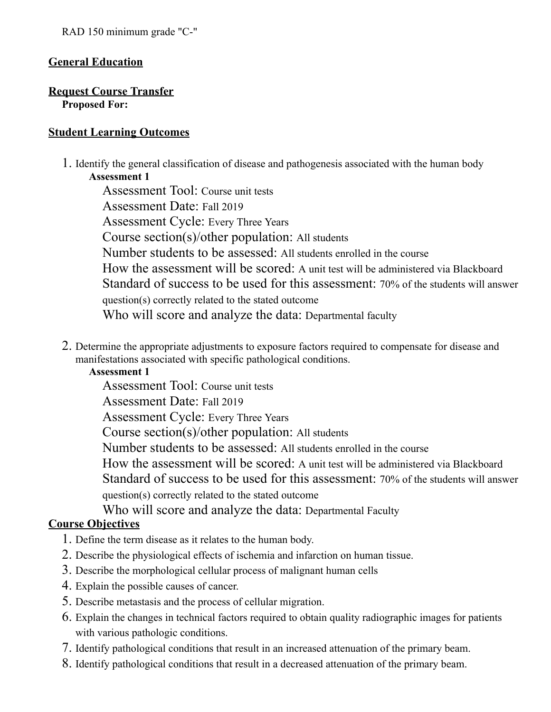### General Education

#### Request Course Transfer Proposed For:

#### Student Learning Outcomes

1. Identify the general classification of disease and pathogenesis associated with the human body Assessment 1

Assessment Tool: Course unit tests Assessment Date: Fall 2019 Assessment Cycle: Every Three Years Course section(s)/other population: All students Number students to be assessed: All students enrolled in the course How the assessment will be scored: A unit test will be administered via Blackboard Standard of success to be used for this assessment: 70% of the students will answer question(s) correctly related to the stated outcome Who will score and analyze the data: Departmental faculty

2. Determine the appropriate adjustments to exposure factors required to compensate for disease and manifestations associated with specific pathological conditions.

#### Assessment 1

Assessment Tool: Course unit tests

Assessment Date: Fall 2019

Assessment Cycle: Every Three Years

Course section(s)/other population: All students

Number students to be assessed: All students enrolled in the course

How the assessment will be scored: A unit test will be administered via Blackboard Standard of success to be used for this assessment: 70% of the students will answer question(s) correctly related to the stated outcome

Who will score and analyze the data: Departmental Faculty

### Course Objectives

- 1. Define the term disease as it relates to the human body.
- 2. Describe the physiological effects of ischemia and infarction on human tissue.
- 3. Describe the morphological cellular process of malignant human cells
- 4. Explain the possible causes of cancer.
- 5. Describe metastasis and the process of cellular migration.
- 6. Explain the changes in technical factors required to obtain quality radiographic images for patients with various pathologic conditions.
- 7. Identify pathological conditions that result in an increased attenuation of the primary beam.
- 8. Identify pathological conditions that result in a decreased attenuation of the primary beam.